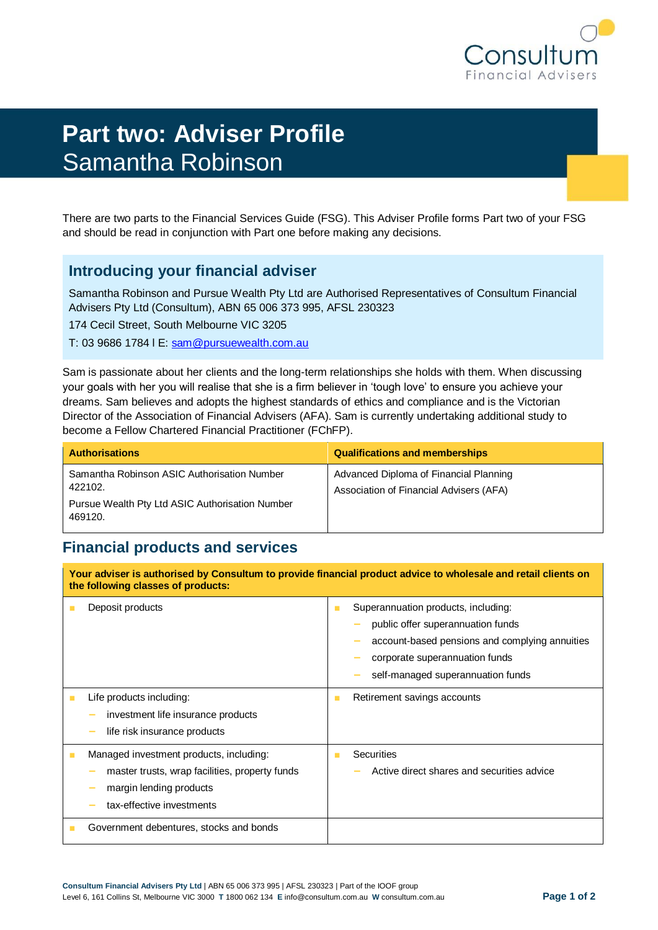

# **Part two: Adviser Profile** Samantha Robinson

There are two parts to the Financial Services Guide (FSG). This Adviser Profile forms Part two of your FSG and should be read in conjunction with Part one before making any decisions.

## **Introducing your financial adviser**

Samantha Robinson and Pursue Wealth Pty Ltd are Authorised Representatives of Consultum Financial Advisers Pty Ltd (Consultum), ABN 65 006 373 995, AFSL 230323

174 Cecil Street, South Melbourne VIC 3205

T: 03 9686 1784 l E: [sam@pursuewealth.com.au](mailto:sam@pursuewealth.com.au)

Sam is passionate about her clients and the long-term relationships she holds with them. When discussing your goals with her you will realise that she is a firm believer in 'tough love' to ensure you achieve your dreams. Sam believes and adopts the highest standards of ethics and compliance and is the Victorian Director of the Association of Financial Advisers (AFA). Sam is currently undertaking additional study to become a Fellow Chartered Financial Practitioner (FChFP).

| <b>Authorisations</b>                                                                                                | <b>Qualifications and memberships</b>                                             |
|----------------------------------------------------------------------------------------------------------------------|-----------------------------------------------------------------------------------|
| Samantha Robinson ASIC Authorisation Number<br>422102.<br>Pursue Wealth Pty Ltd ASIC Authorisation Number<br>469120. | Advanced Diploma of Financial Planning<br>Association of Financial Advisers (AFA) |

# **Financial products and services**

**Your adviser is authorised by Consultum to provide financial product advice to wholesale and retail clients on the following classes of products:** ■ Deposit products ■ Superannuation products, including: **−** public offer superannuation funds **−** account-based pensions and complying annuities **−** corporate superannuation funds **−** self-managed superannuation funds ■ Life products including: **−** investment life insurance products **−** life risk insurance products ■ Retirement savings accounts ■ Managed investment products, including: **−** master trusts, wrap facilities, property funds **−** margin lending products **−** tax-effective investments ■ Securities **−** Active direct shares and securities advice Government debentures, stocks and bonds